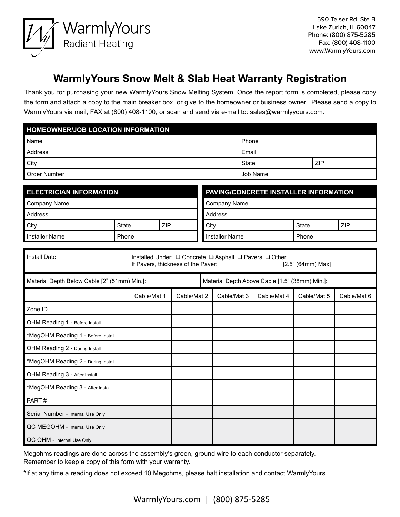

## **WarmlyYours Snow Melt & Slab Heat Warranty Registration**

Thank you for purchasing your new WarmlyYours Snow Melting System. Once the report form is completed, please copy the form and attach a copy to the main breaker box, or give to the homeowner or business owner. Please send a copy to WarmlyYours via mail, FAX at (800) 408-1100, or scan and send via e-mail to: sales@warmlyyours.com.

| <b>HOMEOWNER/JOB LOCATION INFORMATION</b> |          |            |  |  |  |  |
|-------------------------------------------|----------|------------|--|--|--|--|
| l Name                                    | Phone    |            |  |  |  |  |
| Address                                   | Email    |            |  |  |  |  |
| City                                      | State    | <b>ZIP</b> |  |  |  |  |
| Order Number                              | Job Name |            |  |  |  |  |

| <b>ELECTRICIAN INFORMATION</b> |       | <b>PAVING/CONCRETE INSTALLER INFORMATION</b> |                |  |       |            |
|--------------------------------|-------|----------------------------------------------|----------------|--|-------|------------|
| Company Name<br>Company Name   |       |                                              |                |  |       |            |
| <b>Address</b>                 |       | Address                                      |                |  |       |            |
| City                           | State | ZIP                                          | City           |  | State | <b>ZIP</b> |
| l Installer Name               | Phone |                                              | Installer Name |  | Phone |            |

| Install Date:                                | Installed Under: Q Concrete Q Asphalt Q Pavers Q Other<br>If Pavers, thickness of the Paver: [2.5" (64mm) Max] |             |                                                |             |             |             |             |
|----------------------------------------------|----------------------------------------------------------------------------------------------------------------|-------------|------------------------------------------------|-------------|-------------|-------------|-------------|
| Material Depth Below Cable [2" (51mm) Min.]: |                                                                                                                |             | Material Depth Above Cable [1.5" (38mm) Min.]: |             |             |             |             |
|                                              | Cable/Mat 1                                                                                                    | Cable/Mat 2 |                                                | Cable/Mat 3 | Cable/Mat 4 | Cable/Mat 5 | Cable/Mat 6 |
| Zone ID                                      |                                                                                                                |             |                                                |             |             |             |             |
| OHM Reading 1 - Before Install               |                                                                                                                |             |                                                |             |             |             |             |
| *MegOHM Reading 1 - Before Install           |                                                                                                                |             |                                                |             |             |             |             |
| OHM Reading 2 - During Install               |                                                                                                                |             |                                                |             |             |             |             |
| *MegOHM Reading 2 - During Install           |                                                                                                                |             |                                                |             |             |             |             |
| OHM Reading 3 - After Install                |                                                                                                                |             |                                                |             |             |             |             |
| *MegOHM Reading 3 - After Install            |                                                                                                                |             |                                                |             |             |             |             |
| PART#                                        |                                                                                                                |             |                                                |             |             |             |             |
| Serial Number - Internal Use Only            |                                                                                                                |             |                                                |             |             |             |             |
| QC MEGOHM - Internal Use Only                |                                                                                                                |             |                                                |             |             |             |             |
| QC OHM - Internal Use Only                   |                                                                                                                |             |                                                |             |             |             |             |

Megohms readings are done across the assembly's green, ground wire to each conductor separately. Remember to keep a copy of this form with your warranty.

\*If at any time a reading does not exceed 10 Megohms, please halt installation and contact WarmlyYours.